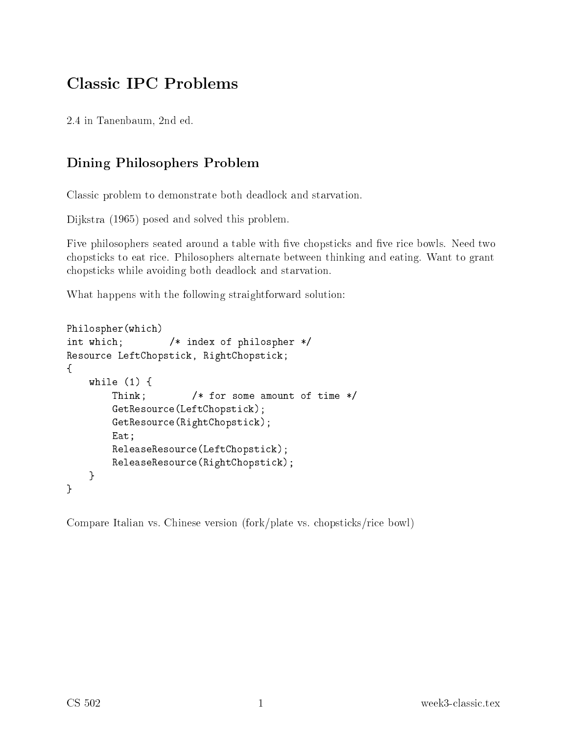## Classi IPC Problems

2.4 in Tanenbaum, 2nd ed.

## Dining Philosophers Problem

Classi problem to demonstrate both deadlo
k and starvation.

Dijkstra (1965) posed and solved this problem.

Five philosophers seated around a table with five chopsticks and five rice bowls. Need two hopsti
ks to eat ri
e. Philosophers alternate between thinking and eating. Want to grant hopsti
ks while avoiding both deadlo
k and starvation.

What happens with the following straightforward solution:

```
Philospher(whi
h)
int which;
                                            /* index of philospher */
k, RightChopstille, RightChopstille, RightChopstille, RightChopstille, RightChopstille, RightChopstille, RightChopstille, RightChopstille, RightChopstille, RightChopstille, RightChopstille, RightChopstille, RightChopstille
\simwhere \sim \sim \sim \simThink; /* for some amount of time */
                    e(2); e(2); e(2); e(2); e(2); e(2); e(2); e(2); e(2); e(2); e(2); e(2); e(2); e(2); e(2); e(2); e(2); e(2); e(2); e(2); e(2); e(2); e(2); e(2); e(2); e(2); e(2); e(2); e(2); e(2); e(2); e(2); e(2); e(2); e(2); e(2); e(2); 
                   GetResour
e(RightChopsti
k);Eat;ReleaseResour
e(LeftChopsti
k);ReleaseResour
e(RightChopsti
k);}
}
```
Compare Italian vs. Chinese version (fork/plate vs. chopsticks/rice bowl)